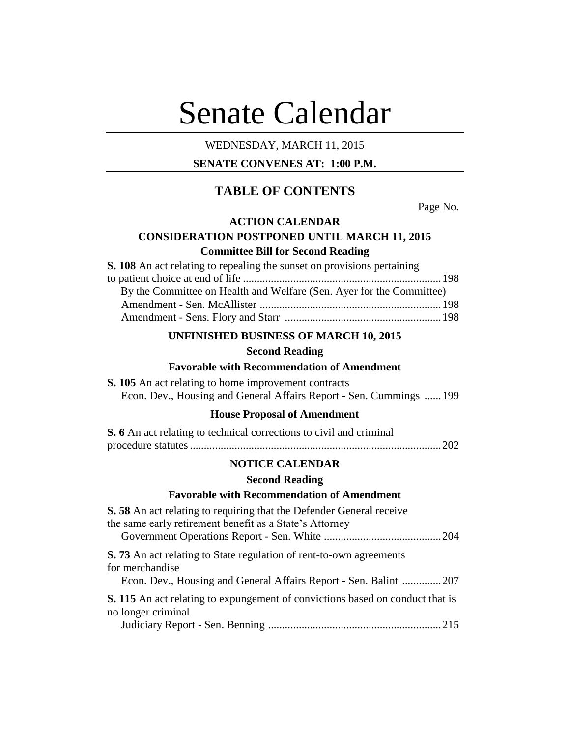# Senate Calendar

# WEDNESDAY, MARCH 11, 2015

# **SENATE CONVENES AT: 1:00 P.M.**

# **TABLE OF CONTENTS**

Page No.

# **ACTION CALENDAR**

# **CONSIDERATION POSTPONED UNTIL MARCH 11, 2015 Committee Bill for Second Reading**

| S. 108 An act relating to repealing the sunset on provisions pertaining |  |
|-------------------------------------------------------------------------|--|
|                                                                         |  |
| By the Committee on Health and Welfare (Sen. Ayer for the Committee)    |  |
|                                                                         |  |
|                                                                         |  |

# **UNFINISHED BUSINESS OF MARCH 10, 2015**

#### **Second Reading**

# **Favorable with Recommendation of Amendment**

| <b>S. 105</b> An act relating to home improvement contracts         |  |  |  |
|---------------------------------------------------------------------|--|--|--|
| Econ. Dev., Housing and General Affairs Report - Sen. Cummings  199 |  |  |  |

## **House Proposal of Amendment**

| S. 6 An act relating to technical corrections to civil and criminal |  |
|---------------------------------------------------------------------|--|
|                                                                     |  |

# **NOTICE CALENDAR**

# **Second Reading**

# **Favorable with Recommendation of Amendment**

| <b>S.</b> 58 An act relating to requiring that the Defender General receive<br>the same early retirement benefit as a State's Attorney                             |
|--------------------------------------------------------------------------------------------------------------------------------------------------------------------|
| <b>S.</b> 73 An act relating to State regulation of rent-to-own agreements<br>for merchandise<br>Econ. Dev., Housing and General Affairs Report - Sen. Balint  207 |
| <b>S.</b> 115 An act relating to expungement of convictions based on conduct that is<br>no longer criminal                                                         |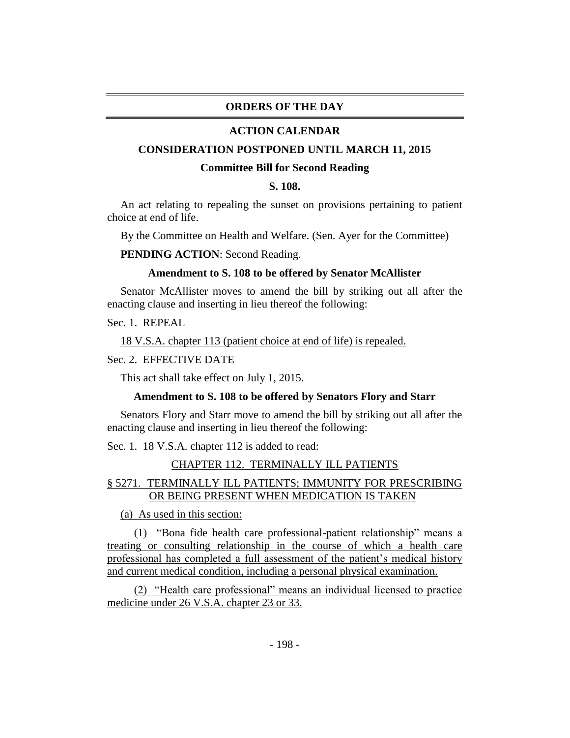## **ORDERS OF THE DAY**

#### **ACTION CALENDAR**

#### **CONSIDERATION POSTPONED UNTIL MARCH 11, 2015**

#### **Committee Bill for Second Reading**

# **S. 108.**

An act relating to repealing the sunset on provisions pertaining to patient choice at end of life.

By the Committee on Health and Welfare. (Sen. Ayer for the Committee)

**PENDING ACTION**: Second Reading.

#### **Amendment to S. 108 to be offered by Senator McAllister**

Senator McAllister moves to amend the bill by striking out all after the enacting clause and inserting in lieu thereof the following:

Sec. 1. REPEAL

18 V.S.A. chapter 113 (patient choice at end of life) is repealed.

#### Sec. 2. EFFECTIVE DATE

This act shall take effect on July 1, 2015.

#### **Amendment to S. 108 to be offered by Senators Flory and Starr**

Senators Flory and Starr move to amend the bill by striking out all after the enacting clause and inserting in lieu thereof the following:

Sec. 1. 18 V.S.A. chapter 112 is added to read:

#### CHAPTER 112. TERMINALLY ILL PATIENTS

# § 5271. TERMINALLY ILL PATIENTS; IMMUNITY FOR PRESCRIBING OR BEING PRESENT WHEN MEDICATION IS TAKEN

(a) As used in this section:

(1) "Bona fide health care professional-patient relationship" means a treating or consulting relationship in the course of which a health care professional has completed a full assessment of the patient's medical history and current medical condition, including a personal physical examination.

(2) "Health care professional" means an individual licensed to practice medicine under 26 V.S.A. chapter 23 or 33.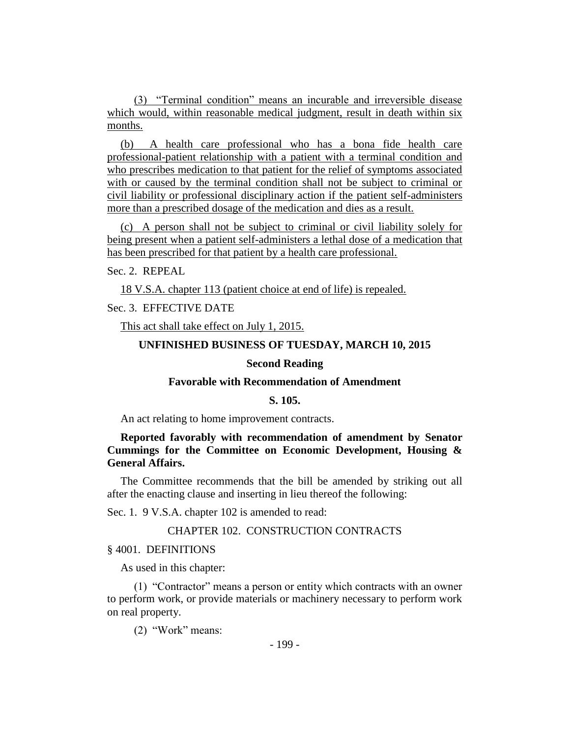(3) "Terminal condition" means an incurable and irreversible disease which would, within reasonable medical judgment, result in death within six months.

(b) A health care professional who has a bona fide health care professional-patient relationship with a patient with a terminal condition and who prescribes medication to that patient for the relief of symptoms associated with or caused by the terminal condition shall not be subject to criminal or civil liability or professional disciplinary action if the patient self-administers more than a prescribed dosage of the medication and dies as a result.

(c) A person shall not be subject to criminal or civil liability solely for being present when a patient self-administers a lethal dose of a medication that has been prescribed for that patient by a health care professional.

Sec. 2. REPEAL

18 V.S.A. chapter 113 (patient choice at end of life) is repealed.

Sec. 3. EFFECTIVE DATE

This act shall take effect on July 1, 2015.

#### **UNFINISHED BUSINESS OF TUESDAY, MARCH 10, 2015**

# **Second Reading**

#### **Favorable with Recommendation of Amendment**

# **S. 105.**

An act relating to home improvement contracts.

**Reported favorably with recommendation of amendment by Senator Cummings for the Committee on Economic Development, Housing & General Affairs.**

The Committee recommends that the bill be amended by striking out all after the enacting clause and inserting in lieu thereof the following:

Sec. 1. 9 V.S.A. chapter 102 is amended to read:

# CHAPTER 102. CONSTRUCTION CONTRACTS

§ 4001. DEFINITIONS

As used in this chapter:

(1) "Contractor" means a person or entity which contracts with an owner to perform work, or provide materials or machinery necessary to perform work on real property.

(2) "Work" means: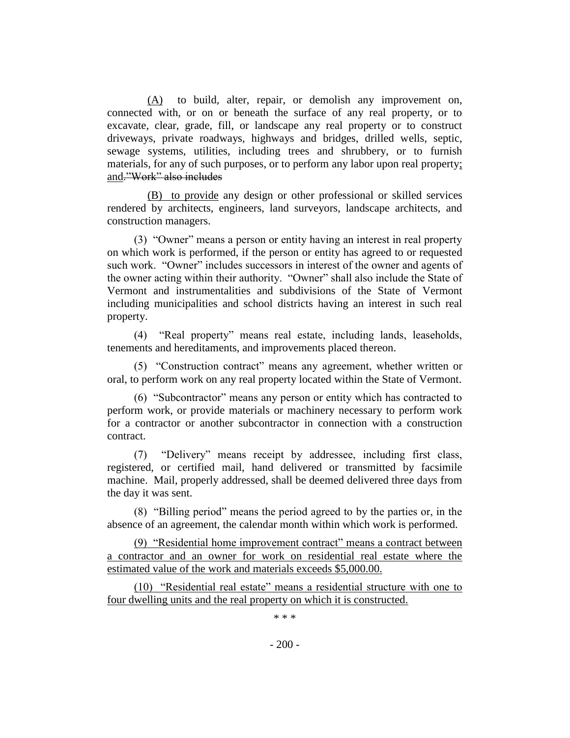(A) to build, alter, repair, or demolish any improvement on, connected with, or on or beneath the surface of any real property, or to excavate, clear, grade, fill, or landscape any real property or to construct driveways, private roadways, highways and bridges, drilled wells, septic, sewage systems, utilities, including trees and shrubbery, or to furnish materials, for any of such purposes, or to perform any labor upon real property; and."Work" also includes

(B) to provide any design or other professional or skilled services rendered by architects, engineers, land surveyors, landscape architects, and construction managers.

(3) "Owner" means a person or entity having an interest in real property on which work is performed, if the person or entity has agreed to or requested such work. "Owner" includes successors in interest of the owner and agents of the owner acting within their authority. "Owner" shall also include the State of Vermont and instrumentalities and subdivisions of the State of Vermont including municipalities and school districts having an interest in such real property.

(4) "Real property" means real estate, including lands, leaseholds, tenements and hereditaments, and improvements placed thereon.

(5) "Construction contract" means any agreement, whether written or oral, to perform work on any real property located within the State of Vermont.

(6) "Subcontractor" means any person or entity which has contracted to perform work, or provide materials or machinery necessary to perform work for a contractor or another subcontractor in connection with a construction contract.

(7) "Delivery" means receipt by addressee, including first class, registered, or certified mail, hand delivered or transmitted by facsimile machine. Mail, properly addressed, shall be deemed delivered three days from the day it was sent.

(8) "Billing period" means the period agreed to by the parties or, in the absence of an agreement, the calendar month within which work is performed.

(9) "Residential home improvement contract" means a contract between a contractor and an owner for work on residential real estate where the estimated value of the work and materials exceeds \$5,000.00.

(10) "Residential real estate" means a residential structure with one to four dwelling units and the real property on which it is constructed.

\* \* \*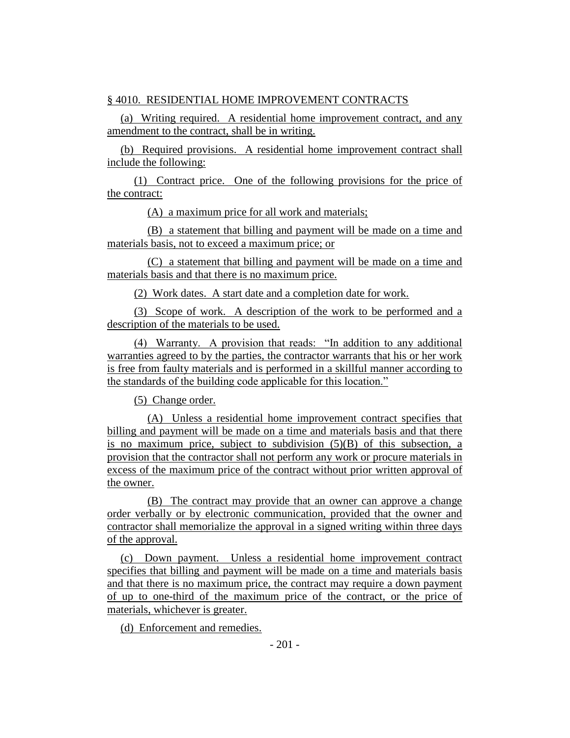# § 4010. RESIDENTIAL HOME IMPROVEMENT CONTRACTS

(a) Writing required. A residential home improvement contract, and any amendment to the contract, shall be in writing.

(b) Required provisions. A residential home improvement contract shall include the following:

(1) Contract price. One of the following provisions for the price of the contract:

(A) a maximum price for all work and materials;

(B) a statement that billing and payment will be made on a time and materials basis, not to exceed a maximum price; or

(C) a statement that billing and payment will be made on a time and materials basis and that there is no maximum price.

(2) Work dates. A start date and a completion date for work.

(3) Scope of work. A description of the work to be performed and a description of the materials to be used.

(4) Warranty. A provision that reads: "In addition to any additional warranties agreed to by the parties, the contractor warrants that his or her work is free from faulty materials and is performed in a skillful manner according to the standards of the building code applicable for this location."

(5) Change order.

(A) Unless a residential home improvement contract specifies that billing and payment will be made on a time and materials basis and that there is no maximum price, subject to subdivision  $(5)(B)$  of this subsection, a provision that the contractor shall not perform any work or procure materials in excess of the maximum price of the contract without prior written approval of the owner.

(B) The contract may provide that an owner can approve a change order verbally or by electronic communication, provided that the owner and contractor shall memorialize the approval in a signed writing within three days of the approval.

(c) Down payment. Unless a residential home improvement contract specifies that billing and payment will be made on a time and materials basis and that there is no maximum price, the contract may require a down payment of up to one-third of the maximum price of the contract, or the price of materials, whichever is greater.

(d) Enforcement and remedies.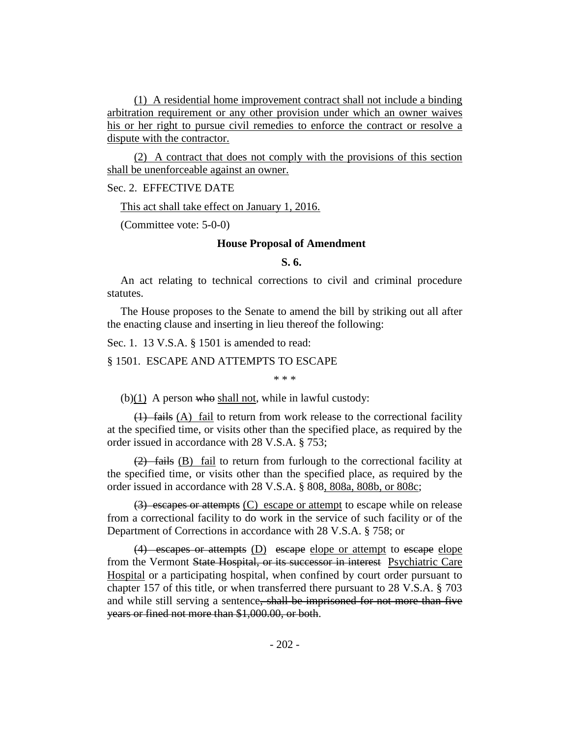(1) A residential home improvement contract shall not include a binding arbitration requirement or any other provision under which an owner waives his or her right to pursue civil remedies to enforce the contract or resolve a dispute with the contractor.

(2) A contract that does not comply with the provisions of this section shall be unenforceable against an owner.

#### Sec. 2. EFFECTIVE DATE

This act shall take effect on January 1, 2016.

(Committee vote: 5-0-0)

#### **House Proposal of Amendment**

# **S. 6.**

An act relating to technical corrections to civil and criminal procedure statutes.

The House proposes to the Senate to amend the bill by striking out all after the enacting clause and inserting in lieu thereof the following:

Sec. 1. 13 V.S.A. § 1501 is amended to read:

§ 1501. ESCAPE AND ATTEMPTS TO ESCAPE

\* \* \*

 $(b)(1)$  A person who shall not, while in lawful custody:

(1) fails (A) fail to return from work release to the correctional facility at the specified time, or visits other than the specified place, as required by the order issued in accordance with 28 V.S.A. § 753;

 $(2)$  fails  $(B)$  fail to return from furlough to the correctional facility at the specified time, or visits other than the specified place, as required by the order issued in accordance with 28 V.S.A. § 808, 808a, 808b, or 808c;

 $(3)$  escapes or attempts  $(C)$  escape or attempt to escape while on release from a correctional facility to do work in the service of such facility or of the Department of Corrections in accordance with 28 V.S.A. § 758; or

(4) escapes or attempts (D) escape elope or attempt to escape elope from the Vermont State Hospital, or its successor in interest Psychiatric Care Hospital or a participating hospital, when confined by court order pursuant to chapter 157 of this title, or when transferred there pursuant to 28 V.S.A. § 703 and while still serving a sentence, shall be imprisoned for not more than five years or fined not more than \$1,000.00, or both.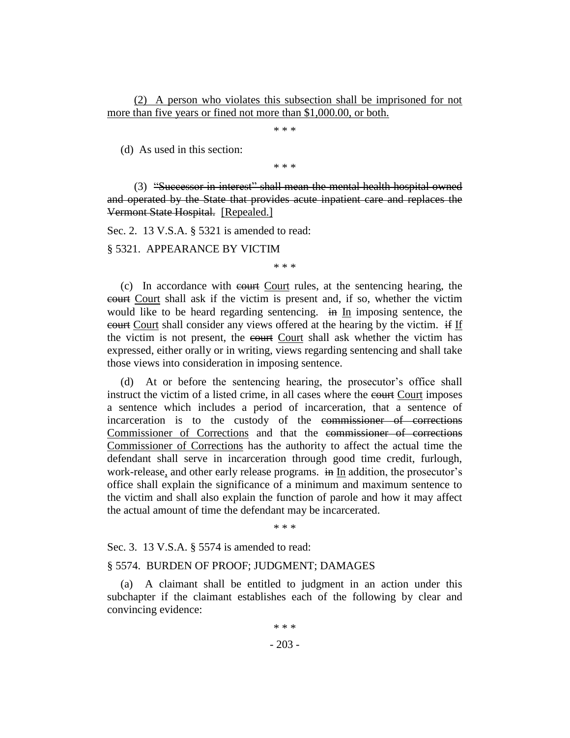(2) A person who violates this subsection shall be imprisoned for not more than five years or fined not more than \$1,000.00, or both.

\* \* \*

(d) As used in this section:

\* \* \*

(3) "Successor in interest" shall mean the mental health hospital owned and operated by the State that provides acute inpatient care and replaces the Vermont State Hospital. [Repealed.]

Sec. 2. 13 V.S.A. § 5321 is amended to read:

§ 5321. APPEARANCE BY VICTIM

\* \* \*

(c) In accordance with court Court rules, at the sentencing hearing, the court Court shall ask if the victim is present and, if so, whether the victim would like to be heard regarding sentencing. in In imposing sentence, the court Court shall consider any views offered at the hearing by the victim. if If the victim is not present, the court Court shall ask whether the victim has expressed, either orally or in writing, views regarding sentencing and shall take those views into consideration in imposing sentence.

(d) At or before the sentencing hearing, the prosecutor's office shall instruct the victim of a listed crime, in all cases where the court Court imposes a sentence which includes a period of incarceration, that a sentence of incarceration is to the custody of the commissioner of corrections Commissioner of Corrections and that the commissioner of corrections Commissioner of Corrections has the authority to affect the actual time the defendant shall serve in incarceration through good time credit, furlough, work-release, and other early release programs. in In addition, the prosecutor's office shall explain the significance of a minimum and maximum sentence to the victim and shall also explain the function of parole and how it may affect the actual amount of time the defendant may be incarcerated.

\* \* \*

Sec. 3. 13 V.S.A. § 5574 is amended to read:

#### § 5574. BURDEN OF PROOF; JUDGMENT; DAMAGES

(a) A claimant shall be entitled to judgment in an action under this subchapter if the claimant establishes each of the following by clear and convincing evidence: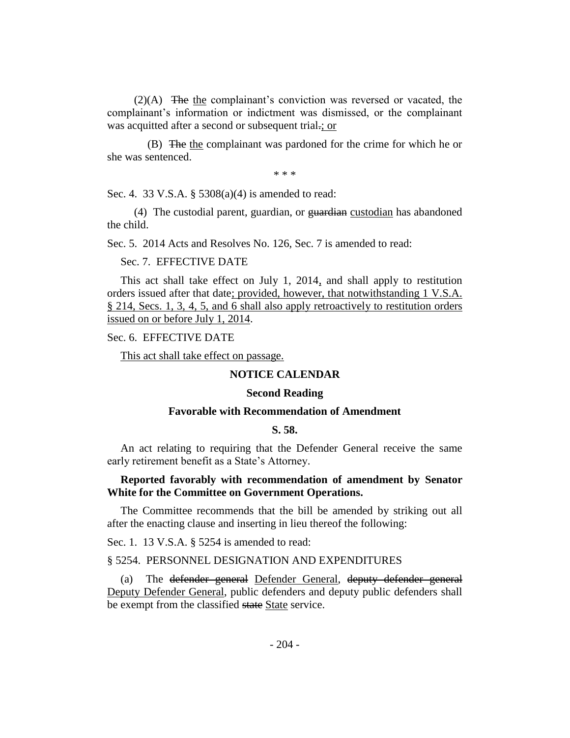(2)(A) The the complainant's conviction was reversed or vacated, the complainant's information or indictment was dismissed, or the complainant was acquitted after a second or subsequent trial.; or

(B) The the complainant was pardoned for the crime for which he or she was sentenced.

\* \* \*

Sec. 4. 33 V.S.A. § 5308(a)(4) is amended to read:

(4) The custodial parent, guardian, or guardian custodian has abandoned the child.

Sec. 5. 2014 Acts and Resolves No. 126, Sec. 7 is amended to read:

#### Sec. 7. EFFECTIVE DATE

This act shall take effect on July 1, 2014, and shall apply to restitution orders issued after that date; provided, however, that notwithstanding 1 V.S.A. § 214, Secs. 1, 3, 4, 5, and 6 shall also apply retroactively to restitution orders issued on or before July 1, 2014.

## Sec. 6. EFFECTIVE DATE

This act shall take effect on passage.

#### **NOTICE CALENDAR**

#### **Second Reading**

#### **Favorable with Recommendation of Amendment**

#### **S. 58.**

An act relating to requiring that the Defender General receive the same early retirement benefit as a State's Attorney.

# **Reported favorably with recommendation of amendment by Senator White for the Committee on Government Operations.**

The Committee recommends that the bill be amended by striking out all after the enacting clause and inserting in lieu thereof the following:

Sec. 1. 13 V.S.A. § 5254 is amended to read:

# § 5254. PERSONNEL DESIGNATION AND EXPENDITURES

(a) The defender general Defender General, deputy defender general Deputy Defender General, public defenders and deputy public defenders shall be exempt from the classified state State service.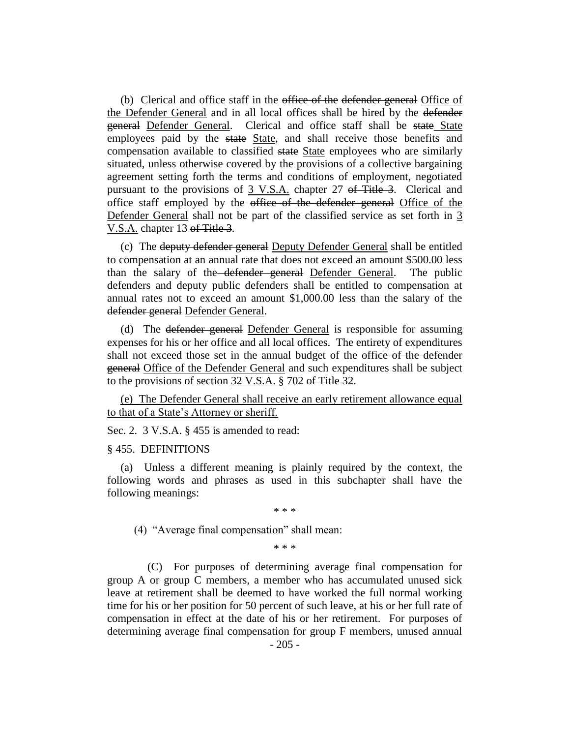(b) Clerical and office staff in the office of the defender general Office of the Defender General and in all local offices shall be hired by the defender general Defender General. Clerical and office staff shall be state State employees paid by the state State, and shall receive those benefits and compensation available to classified state State employees who are similarly situated, unless otherwise covered by the provisions of a collective bargaining agreement setting forth the terms and conditions of employment, negotiated pursuant to the provisions of 3 V.S.A. chapter 27 of Title 3. Clerical and office staff employed by the office of the defender general Office of the Defender General shall not be part of the classified service as set forth in 3 V.S.A. chapter 13 of Title 3.

(c) The deputy defender general Deputy Defender General shall be entitled to compensation at an annual rate that does not exceed an amount \$500.00 less than the salary of the defender general Defender General. The public defenders and deputy public defenders shall be entitled to compensation at annual rates not to exceed an amount \$1,000.00 less than the salary of the defender general Defender General.

(d) The defender general Defender General is responsible for assuming expenses for his or her office and all local offices. The entirety of expenditures shall not exceed those set in the annual budget of the office of the defender general Office of the Defender General and such expenditures shall be subject to the provisions of section 32 V.S.A. § 702 of Title 32.

(e) The Defender General shall receive an early retirement allowance equal to that of a State's Attorney or sheriff.

Sec. 2. 3 V.S.A. § 455 is amended to read:

#### § 455. DEFINITIONS

(a) Unless a different meaning is plainly required by the context, the following words and phrases as used in this subchapter shall have the following meanings:

\* \* \*

(4) "Average final compensation" shall mean:

\* \* \*

(C) For purposes of determining average final compensation for group A or group C members, a member who has accumulated unused sick leave at retirement shall be deemed to have worked the full normal working time for his or her position for 50 percent of such leave, at his or her full rate of compensation in effect at the date of his or her retirement. For purposes of determining average final compensation for group F members, unused annual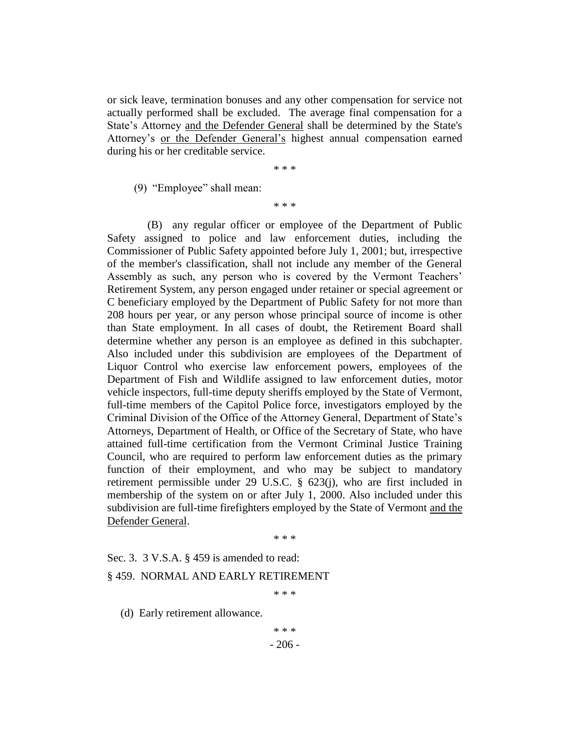or sick leave, termination bonuses and any other compensation for service not actually performed shall be excluded. The average final compensation for a State's Attorney and the Defender General shall be determined by the State's Attorney's or the Defender General's highest annual compensation earned during his or her creditable service.

\* \* \*

(9) "Employee" shall mean:

\* \* \*

(B) any regular officer or employee of the Department of Public Safety assigned to police and law enforcement duties, including the Commissioner of Public Safety appointed before July 1, 2001; but, irrespective of the member's classification, shall not include any member of the General Assembly as such, any person who is covered by the Vermont Teachers' Retirement System, any person engaged under retainer or special agreement or C beneficiary employed by the Department of Public Safety for not more than 208 hours per year, or any person whose principal source of income is other than State employment. In all cases of doubt, the Retirement Board shall determine whether any person is an employee as defined in this subchapter. Also included under this subdivision are employees of the Department of Liquor Control who exercise law enforcement powers, employees of the Department of Fish and Wildlife assigned to law enforcement duties, motor vehicle inspectors, full-time deputy sheriffs employed by the State of Vermont, full-time members of the Capitol Police force, investigators employed by the Criminal Division of the Office of the Attorney General, Department of State's Attorneys, Department of Health, or Office of the Secretary of State, who have attained full-time certification from the Vermont Criminal Justice Training Council, who are required to perform law enforcement duties as the primary function of their employment, and who may be subject to mandatory retirement permissible under 29 U.S.C. § 623(j), who are first included in membership of the system on or after July 1, 2000. Also included under this subdivision are full-time firefighters employed by the State of Vermont and the Defender General.

\* \* \*

Sec. 3. 3 V.S.A. § 459 is amended to read:

#### § 459. NORMAL AND EARLY RETIREMENT

\* \* \*

(d) Early retirement allowance.

\* \* \*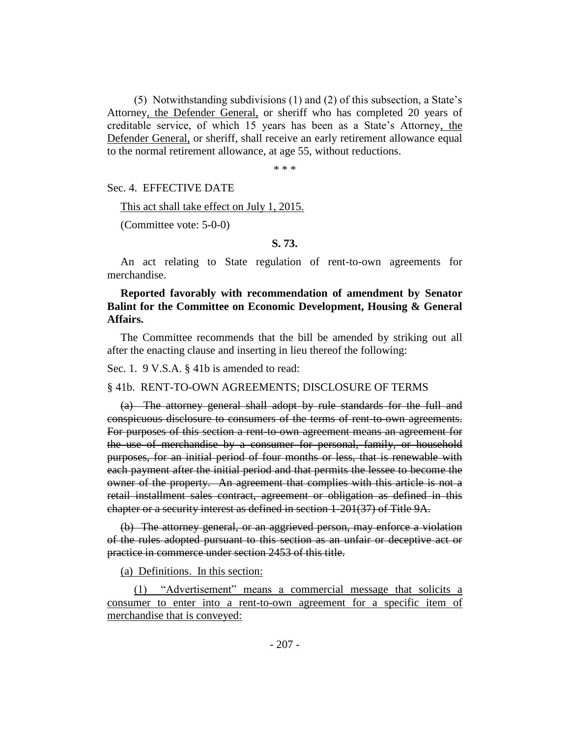(5) Notwithstanding subdivisions (1) and (2) of this subsection, a State's Attorney, the Defender General, or sheriff who has completed 20 years of creditable service, of which 15 years has been as a State's Attorney, the Defender General, or sheriff, shall receive an early retirement allowance equal to the normal retirement allowance, at age 55, without reductions.

\* \* \*

Sec. 4. EFFECTIVE DATE

This act shall take effect on July 1, 2015.

(Committee vote: 5-0-0)

#### **S. 73.**

An act relating to State regulation of rent-to-own agreements for merchandise.

**Reported favorably with recommendation of amendment by Senator Balint for the Committee on Economic Development, Housing & General Affairs.**

The Committee recommends that the bill be amended by striking out all after the enacting clause and inserting in lieu thereof the following:

Sec. 1. 9 V.S.A. § 41b is amended to read:

§ 41b. RENT-TO-OWN AGREEMENTS; DISCLOSURE OF TERMS

(a) The attorney general shall adopt by rule standards for the full and conspicuous disclosure to consumers of the terms of rent-to-own agreements. For purposes of this section a rent-to-own agreement means an agreement for the use of merchandise by a consumer for personal, family, or household purposes, for an initial period of four months or less, that is renewable with each payment after the initial period and that permits the lessee to become the owner of the property. An agreement that complies with this article is not a retail installment sales contract, agreement or obligation as defined in this chapter or a security interest as defined in section 1-201(37) of Title 9A.

(b) The attorney general, or an aggrieved person, may enforce a violation of the rules adopted pursuant to this section as an unfair or deceptive act or practice in commerce under section 2453 of this title.

(a) Definitions. In this section:

(1) "Advertisement" means a commercial message that solicits a consumer to enter into a rent-to-own agreement for a specific item of merchandise that is conveyed: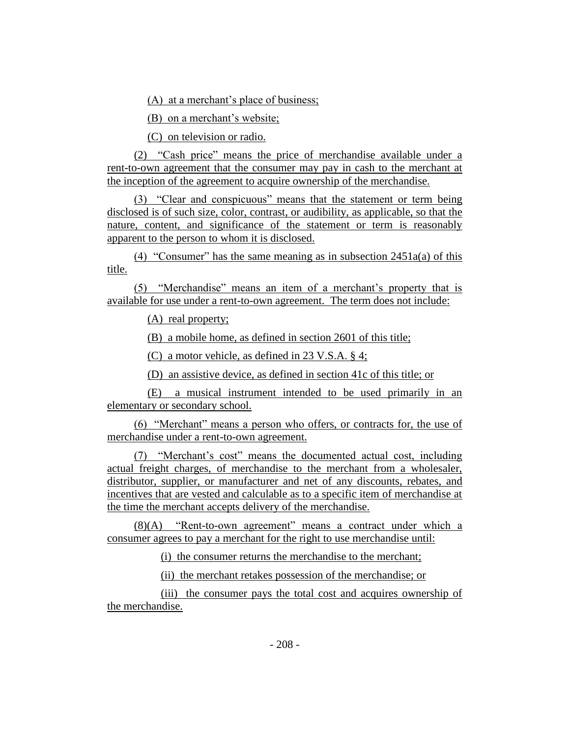(A) at a merchant's place of business;

(B) on a merchant's website;

(C) on television or radio.

(2) "Cash price" means the price of merchandise available under a rent-to-own agreement that the consumer may pay in cash to the merchant at the inception of the agreement to acquire ownership of the merchandise.

(3) "Clear and conspicuous" means that the statement or term being disclosed is of such size, color, contrast, or audibility, as applicable, so that the nature, content, and significance of the statement or term is reasonably apparent to the person to whom it is disclosed.

(4) "Consumer" has the same meaning as in subsection  $2451a(a)$  of this title.

(5) "Merchandise" means an item of a merchant's property that is available for use under a rent-to-own agreement. The term does not include:

(A) real property;

(B) a mobile home, as defined in section 2601 of this title;

(C) a motor vehicle, as defined in 23 V.S.A. § 4;

(D) an assistive device, as defined in section 41c of this title; or

(E) a musical instrument intended to be used primarily in an elementary or secondary school.

(6) "Merchant" means a person who offers, or contracts for, the use of merchandise under a rent-to-own agreement.

(7) "Merchant's cost" means the documented actual cost, including actual freight charges, of merchandise to the merchant from a wholesaler, distributor, supplier, or manufacturer and net of any discounts, rebates, and incentives that are vested and calculable as to a specific item of merchandise at the time the merchant accepts delivery of the merchandise.

(8)(A) "Rent-to-own agreement" means a contract under which a consumer agrees to pay a merchant for the right to use merchandise until:

(i) the consumer returns the merchandise to the merchant;

(ii) the merchant retakes possession of the merchandise; or

(iii) the consumer pays the total cost and acquires ownership of the merchandise.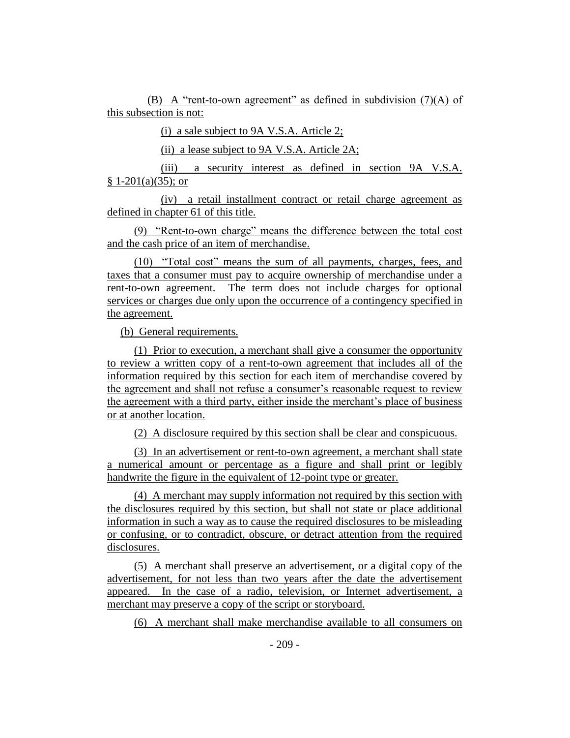(B) A "rent-to-own agreement" as defined in subdivision (7)(A) of this subsection is not:

(i) a sale subject to 9A V.S.A. Article 2;

(ii) a lease subject to 9A V.S.A. Article 2A;

(iii) a security interest as defined in section 9A V.S.A.  $§ 1-201(a)(35);$  or

(iv) a retail installment contract or retail charge agreement as defined in chapter 61 of this title.

(9) "Rent-to-own charge" means the difference between the total cost and the cash price of an item of merchandise.

(10) "Total cost" means the sum of all payments, charges, fees, and taxes that a consumer must pay to acquire ownership of merchandise under a rent-to-own agreement. The term does not include charges for optional services or charges due only upon the occurrence of a contingency specified in the agreement.

(b) General requirements.

(1) Prior to execution, a merchant shall give a consumer the opportunity to review a written copy of a rent-to-own agreement that includes all of the information required by this section for each item of merchandise covered by the agreement and shall not refuse a consumer's reasonable request to review the agreement with a third party, either inside the merchant's place of business or at another location.

(2) A disclosure required by this section shall be clear and conspicuous.

(3) In an advertisement or rent-to-own agreement, a merchant shall state a numerical amount or percentage as a figure and shall print or legibly handwrite the figure in the equivalent of 12-point type or greater.

(4) A merchant may supply information not required by this section with the disclosures required by this section, but shall not state or place additional information in such a way as to cause the required disclosures to be misleading or confusing, or to contradict, obscure, or detract attention from the required disclosures.

(5) A merchant shall preserve an advertisement, or a digital copy of the advertisement, for not less than two years after the date the advertisement appeared. In the case of a radio, television, or Internet advertisement, a merchant may preserve a copy of the script or storyboard.

(6) A merchant shall make merchandise available to all consumers on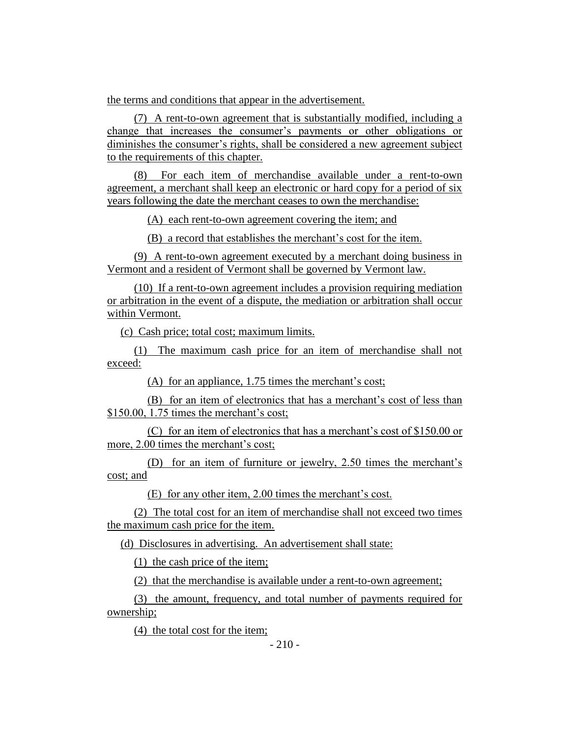the terms and conditions that appear in the advertisement.

(7) A rent-to-own agreement that is substantially modified, including a change that increases the consumer's payments or other obligations or diminishes the consumer's rights, shall be considered a new agreement subject to the requirements of this chapter.

(8) For each item of merchandise available under a rent-to-own agreement, a merchant shall keep an electronic or hard copy for a period of six years following the date the merchant ceases to own the merchandise:

(A) each rent-to-own agreement covering the item; and

(B) a record that establishes the merchant's cost for the item.

(9) A rent-to-own agreement executed by a merchant doing business in Vermont and a resident of Vermont shall be governed by Vermont law.

(10) If a rent-to-own agreement includes a provision requiring mediation or arbitration in the event of a dispute, the mediation or arbitration shall occur within Vermont.

(c) Cash price; total cost; maximum limits.

(1) The maximum cash price for an item of merchandise shall not exceed:

(A) for an appliance, 1.75 times the merchant's cost;

(B) for an item of electronics that has a merchant's cost of less than \$150.00, 1.75 times the merchant's cost;

(C) for an item of electronics that has a merchant's cost of \$150.00 or more, 2.00 times the merchant's cost;

(D) for an item of furniture or jewelry, 2.50 times the merchant's cost; and

(E) for any other item, 2.00 times the merchant's cost.

(2) The total cost for an item of merchandise shall not exceed two times the maximum cash price for the item.

(d) Disclosures in advertising. An advertisement shall state:

(1) the cash price of the item;

(2) that the merchandise is available under a rent-to-own agreement;

(3) the amount, frequency, and total number of payments required for ownership;

(4) the total cost for the item;

 $-210-$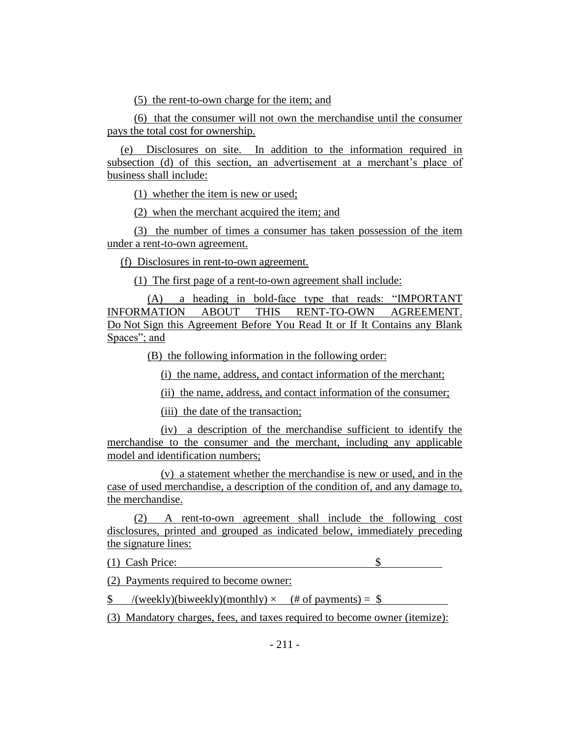(5) the rent-to-own charge for the item; and

(6) that the consumer will not own the merchandise until the consumer pays the total cost for ownership.

(e) Disclosures on site. In addition to the information required in subsection (d) of this section, an advertisement at a merchant's place of business shall include:

(1) whether the item is new or used;

(2) when the merchant acquired the item; and

(3) the number of times a consumer has taken possession of the item under a rent-to-own agreement.

(f) Disclosures in rent-to-own agreement.

(1) The first page of a rent-to-own agreement shall include:

(A) a heading in bold-face type that reads: "IMPORTANT INFORMATION ABOUT THIS RENT-TO-OWN AGREEMENT. Do Not Sign this Agreement Before You Read It or If It Contains any Blank Spaces"; and

(B) the following information in the following order:

(i) the name, address, and contact information of the merchant;

(ii) the name, address, and contact information of the consumer;

(iii) the date of the transaction;

(iv) a description of the merchandise sufficient to identify the merchandise to the consumer and the merchant, including any applicable model and identification numbers;

(v) a statement whether the merchandise is new or used, and in the case of used merchandise, a description of the condition of, and any damage to, the merchandise.

(2) A rent-to-own agreement shall include the following cost disclosures, printed and grouped as indicated below, immediately preceding the signature lines:

(1)Cash Price: \$

(2) Payments required to become owner:

 $\text{\$}$  /(weekly)(biweekly)(monthly)  $\times$  (# of payments) =  $\text{\$}$ 

(3) Mandatory charges, fees, and taxes required to become owner (itemize):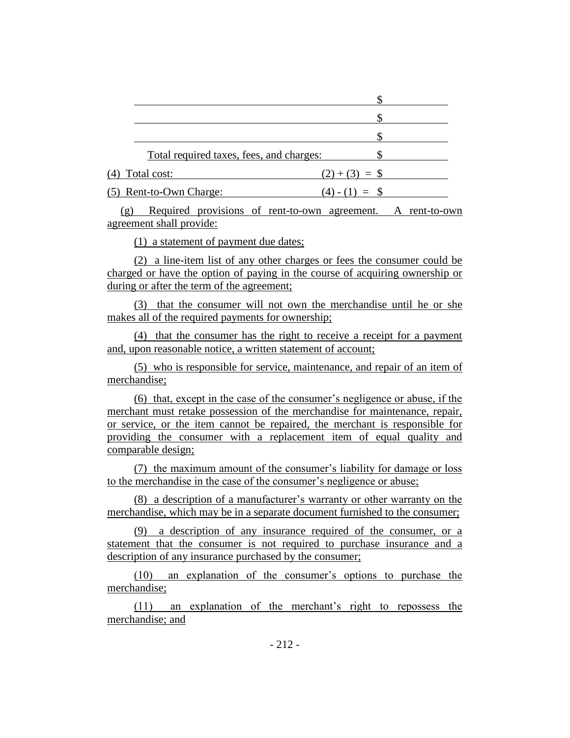| Total required taxes, fees, and charges: |               |
|------------------------------------------|---------------|
| (4) Total cost:                          | $(2)+(3) = $$ |
| (5) Rent-to-Own Charge:                  | $(4) - (1)$   |
|                                          |               |

(g) Required provisions of rent-to-own agreement. A rent-to-own agreement shall provide:

(1) a statement of payment due dates;

(2) a line-item list of any other charges or fees the consumer could be charged or have the option of paying in the course of acquiring ownership or during or after the term of the agreement;

(3) that the consumer will not own the merchandise until he or she makes all of the required payments for ownership;

(4) that the consumer has the right to receive a receipt for a payment and, upon reasonable notice, a written statement of account;

(5) who is responsible for service, maintenance, and repair of an item of merchandise;

(6) that, except in the case of the consumer's negligence or abuse, if the merchant must retake possession of the merchandise for maintenance, repair, or service, or the item cannot be repaired, the merchant is responsible for providing the consumer with a replacement item of equal quality and comparable design;

(7) the maximum amount of the consumer's liability for damage or loss to the merchandise in the case of the consumer's negligence or abuse;

(8) a description of a manufacturer's warranty or other warranty on the merchandise, which may be in a separate document furnished to the consumer;

(9) a description of any insurance required of the consumer, or a statement that the consumer is not required to purchase insurance and a description of any insurance purchased by the consumer;

(10) an explanation of the consumer's options to purchase the merchandise;

(11) an explanation of the merchant's right to repossess the merchandise; and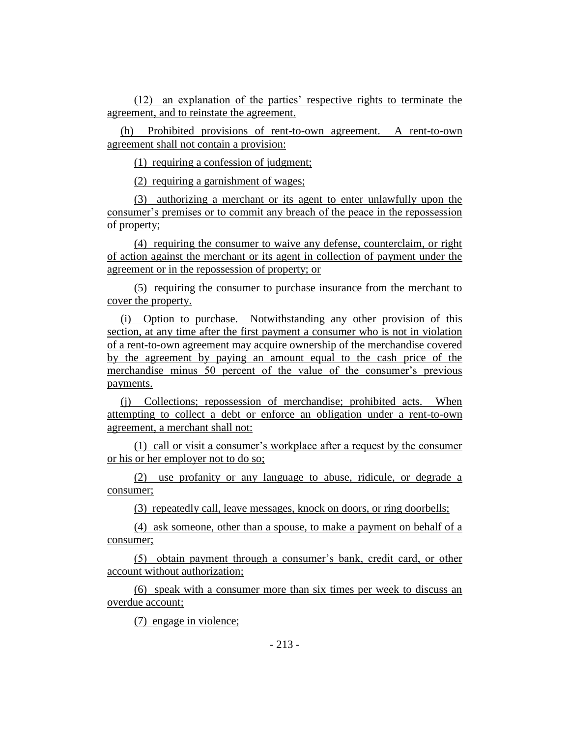(12) an explanation of the parties' respective rights to terminate the agreement, and to reinstate the agreement.

(h) Prohibited provisions of rent-to-own agreement. A rent-to-own agreement shall not contain a provision:

(1) requiring a confession of judgment;

(2) requiring a garnishment of wages;

(3) authorizing a merchant or its agent to enter unlawfully upon the consumer's premises or to commit any breach of the peace in the repossession of property;

(4) requiring the consumer to waive any defense, counterclaim, or right of action against the merchant or its agent in collection of payment under the agreement or in the repossession of property; or

(5) requiring the consumer to purchase insurance from the merchant to cover the property.

(i) Option to purchase. Notwithstanding any other provision of this section, at any time after the first payment a consumer who is not in violation of a rent-to-own agreement may acquire ownership of the merchandise covered by the agreement by paying an amount equal to the cash price of the merchandise minus 50 percent of the value of the consumer's previous payments.

(j) Collections; repossession of merchandise; prohibited acts. When attempting to collect a debt or enforce an obligation under a rent-to-own agreement, a merchant shall not:

(1) call or visit a consumer's workplace after a request by the consumer or his or her employer not to do so;

(2) use profanity or any language to abuse, ridicule, or degrade a consumer;

(3) repeatedly call, leave messages, knock on doors, or ring doorbells;

(4) ask someone, other than a spouse, to make a payment on behalf of a consumer;

(5) obtain payment through a consumer's bank, credit card, or other account without authorization;

(6) speak with a consumer more than six times per week to discuss an overdue account;

(7) engage in violence;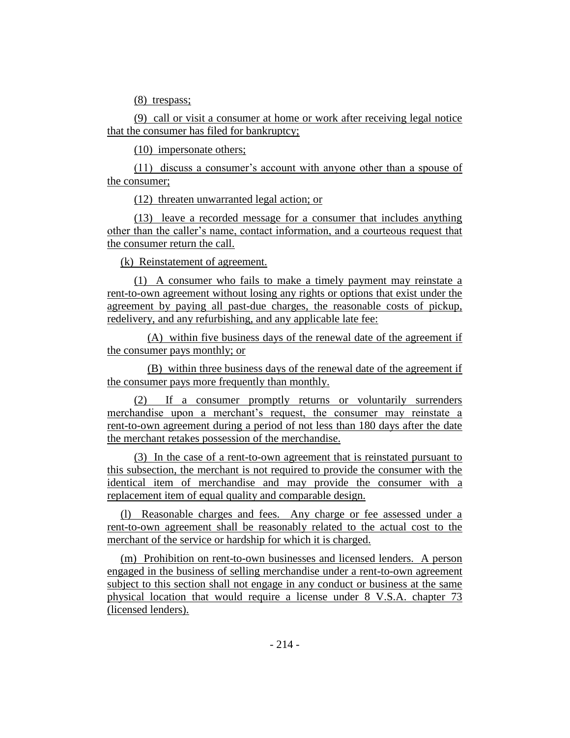(8) trespass;

(9) call or visit a consumer at home or work after receiving legal notice that the consumer has filed for bankruptcy;

(10) impersonate others;

(11) discuss a consumer's account with anyone other than a spouse of the consumer;

(12) threaten unwarranted legal action; or

(13) leave a recorded message for a consumer that includes anything other than the caller's name, contact information, and a courteous request that the consumer return the call.

(k) Reinstatement of agreement.

(1) A consumer who fails to make a timely payment may reinstate a rent-to-own agreement without losing any rights or options that exist under the agreement by paying all past-due charges, the reasonable costs of pickup, redelivery, and any refurbishing, and any applicable late fee:

(A) within five business days of the renewal date of the agreement if the consumer pays monthly; or

(B) within three business days of the renewal date of the agreement if the consumer pays more frequently than monthly.

(2) If a consumer promptly returns or voluntarily surrenders merchandise upon a merchant's request, the consumer may reinstate a rent-to-own agreement during a period of not less than 180 days after the date the merchant retakes possession of the merchandise.

(3) In the case of a rent-to-own agreement that is reinstated pursuant to this subsection, the merchant is not required to provide the consumer with the identical item of merchandise and may provide the consumer with a replacement item of equal quality and comparable design.

(l) Reasonable charges and fees. Any charge or fee assessed under a rent-to-own agreement shall be reasonably related to the actual cost to the merchant of the service or hardship for which it is charged.

(m) Prohibition on rent-to-own businesses and licensed lenders. A person engaged in the business of selling merchandise under a rent-to-own agreement subject to this section shall not engage in any conduct or business at the same physical location that would require a license under 8 V.S.A. chapter 73 (licensed lenders).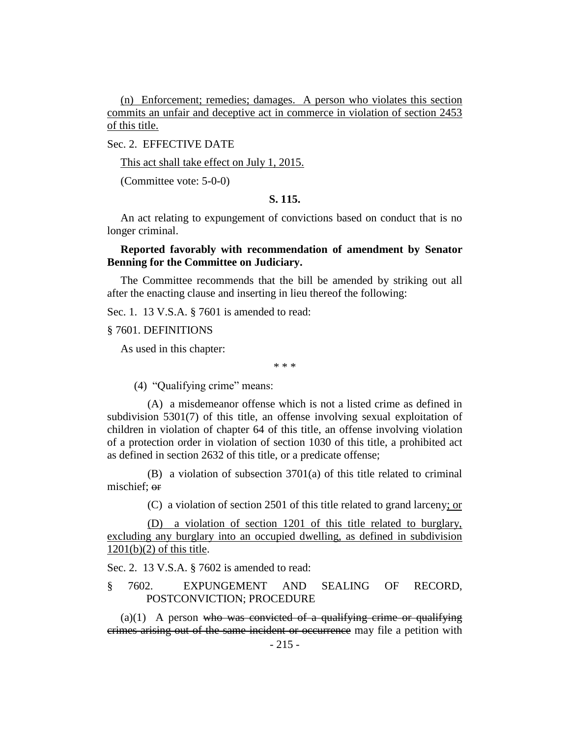(n) Enforcement; remedies; damages. A person who violates this section commits an unfair and deceptive act in commerce in violation of section 2453 of this title.

# Sec. 2. EFFECTIVE DATE

This act shall take effect on July 1, 2015.

(Committee vote: 5-0-0)

#### **S. 115.**

An act relating to expungement of convictions based on conduct that is no longer criminal.

# **Reported favorably with recommendation of amendment by Senator Benning for the Committee on Judiciary.**

The Committee recommends that the bill be amended by striking out all after the enacting clause and inserting in lieu thereof the following:

Sec. 1. 13 V.S.A. § 7601 is amended to read:

§ 7601. DEFINITIONS

As used in this chapter:

\* \* \*

(4) "Qualifying crime" means:

(A) a misdemeanor offense which is not a listed crime as defined in subdivision 5301(7) of this title, an offense involving sexual exploitation of children in violation of chapter 64 of this title, an offense involving violation of a protection order in violation of section 1030 of this title, a prohibited act as defined in section 2632 of this title, or a predicate offense;

(B) a violation of subsection 3701(a) of this title related to criminal mischief; or

(C) a violation of section 2501 of this title related to grand larceny; or

(D) a violation of section 1201 of this title related to burglary, excluding any burglary into an occupied dwelling, as defined in subdivision  $1201(b)(2)$  of this title.

Sec. 2. 13 V.S.A. § 7602 is amended to read:

# § 7602. EXPUNGEMENT AND SEALING OF RECORD, POSTCONVICTION; PROCEDURE

 $(a)(1)$  A person who was convicted of a qualifying crime or qualifying crimes arising out of the same incident or occurrence may file a petition with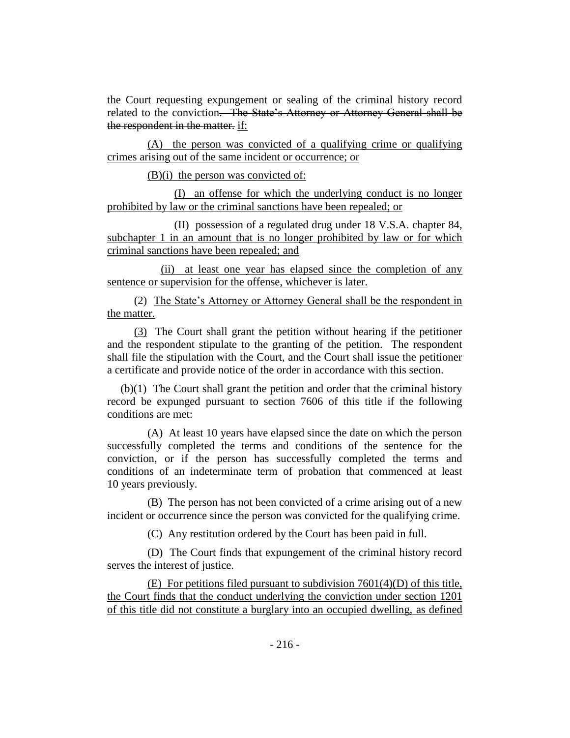the Court requesting expungement or sealing of the criminal history record related to the conviction. The State's Attorney or Attorney General shall be the respondent in the matter. if:

(A) the person was convicted of a qualifying crime or qualifying crimes arising out of the same incident or occurrence; or

(B)(i) the person was convicted of:

(I) an offense for which the underlying conduct is no longer prohibited by law or the criminal sanctions have been repealed; or

(II) possession of a regulated drug under 18 V.S.A. chapter 84, subchapter 1 in an amount that is no longer prohibited by law or for which criminal sanctions have been repealed; and

(ii) at least one year has elapsed since the completion of any sentence or supervision for the offense, whichever is later.

(2) The State's Attorney or Attorney General shall be the respondent in the matter.

(3) The Court shall grant the petition without hearing if the petitioner and the respondent stipulate to the granting of the petition. The respondent shall file the stipulation with the Court, and the Court shall issue the petitioner a certificate and provide notice of the order in accordance with this section.

(b)(1) The Court shall grant the petition and order that the criminal history record be expunged pursuant to section 7606 of this title if the following conditions are met:

(A) At least 10 years have elapsed since the date on which the person successfully completed the terms and conditions of the sentence for the conviction, or if the person has successfully completed the terms and conditions of an indeterminate term of probation that commenced at least 10 years previously.

(B) The person has not been convicted of a crime arising out of a new incident or occurrence since the person was convicted for the qualifying crime.

(C) Any restitution ordered by the Court has been paid in full.

(D) The Court finds that expungement of the criminal history record serves the interest of justice.

(E) For petitions filed pursuant to subdivision 7601(4)(D) of this title, the Court finds that the conduct underlying the conviction under section 1201 of this title did not constitute a burglary into an occupied dwelling, as defined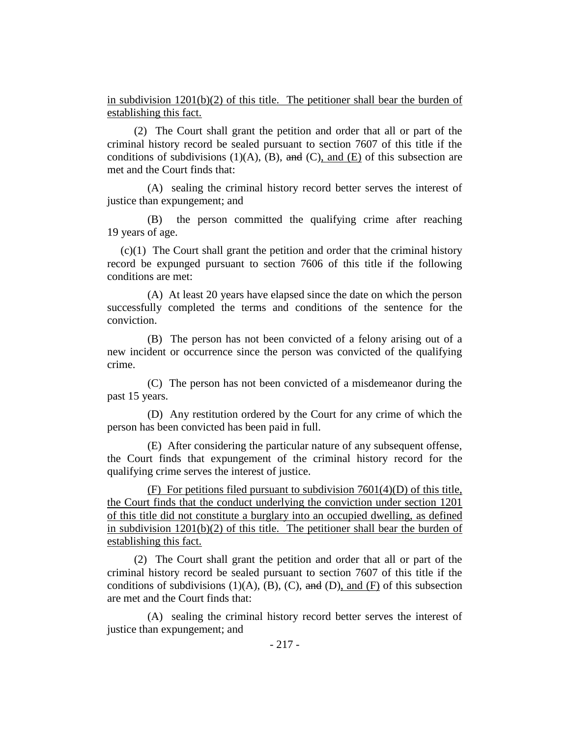in subdivision  $1201(b)(2)$  of this title. The petitioner shall bear the burden of establishing this fact.

(2) The Court shall grant the petition and order that all or part of the criminal history record be sealed pursuant to section 7607 of this title if the conditions of subdivisions  $(1)(A)$ ,  $(B)$ , and  $(C)$ , and  $(E)$  of this subsection are met and the Court finds that:

(A) sealing the criminal history record better serves the interest of justice than expungement; and

(B) the person committed the qualifying crime after reaching 19 years of age.

(c)(1) The Court shall grant the petition and order that the criminal history record be expunged pursuant to section 7606 of this title if the following conditions are met:

(A) At least 20 years have elapsed since the date on which the person successfully completed the terms and conditions of the sentence for the conviction.

(B) The person has not been convicted of a felony arising out of a new incident or occurrence since the person was convicted of the qualifying crime.

(C) The person has not been convicted of a misdemeanor during the past 15 years.

(D) Any restitution ordered by the Court for any crime of which the person has been convicted has been paid in full.

(E) After considering the particular nature of any subsequent offense, the Court finds that expungement of the criminal history record for the qualifying crime serves the interest of justice.

(F) For petitions filed pursuant to subdivision 7601(4)(D) of this title, the Court finds that the conduct underlying the conviction under section 1201 of this title did not constitute a burglary into an occupied dwelling, as defined in subdivision  $1201(b)(2)$  of this title. The petitioner shall bear the burden of establishing this fact.

(2) The Court shall grant the petition and order that all or part of the criminal history record be sealed pursuant to section 7607 of this title if the conditions of subdivisions (1)(A), (B), (C), and (D), and (F) of this subsection are met and the Court finds that:

(A) sealing the criminal history record better serves the interest of justice than expungement; and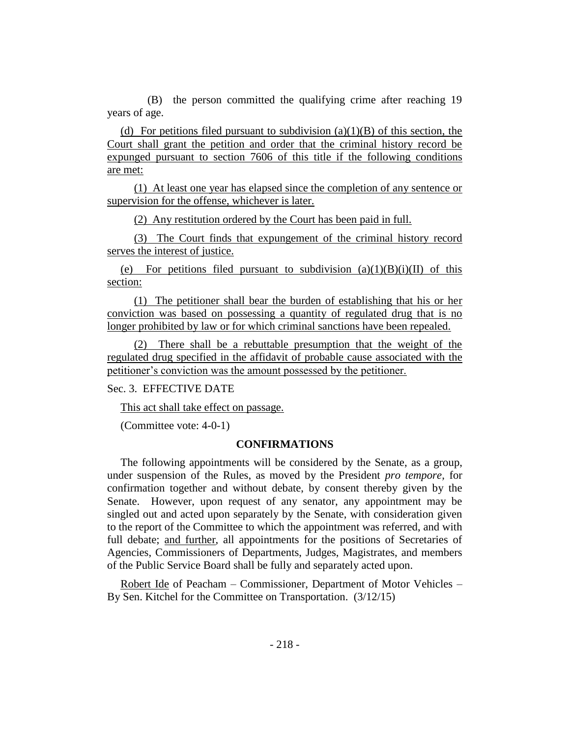(B) the person committed the qualifying crime after reaching 19 years of age.

(d) For petitions filed pursuant to subdivision  $(a)(1)(B)$  of this section, the Court shall grant the petition and order that the criminal history record be expunged pursuant to section 7606 of this title if the following conditions are met:

(1) At least one year has elapsed since the completion of any sentence or supervision for the offense, whichever is later.

(2) Any restitution ordered by the Court has been paid in full.

(3) The Court finds that expungement of the criminal history record serves the interest of justice.

(e) For petitions filed pursuant to subdivision  $(a)(1)(B)(i)(II)$  of this section:

(1) The petitioner shall bear the burden of establishing that his or her conviction was based on possessing a quantity of regulated drug that is no longer prohibited by law or for which criminal sanctions have been repealed.

(2) There shall be a rebuttable presumption that the weight of the regulated drug specified in the affidavit of probable cause associated with the petitioner's conviction was the amount possessed by the petitioner.

Sec. 3. EFFECTIVE DATE

This act shall take effect on passage.

(Committee vote: 4-0-1)

#### **CONFIRMATIONS**

The following appointments will be considered by the Senate, as a group, under suspension of the Rules, as moved by the President *pro tempore,* for confirmation together and without debate, by consent thereby given by the Senate. However, upon request of any senator, any appointment may be singled out and acted upon separately by the Senate, with consideration given to the report of the Committee to which the appointment was referred, and with full debate; and further, all appointments for the positions of Secretaries of Agencies, Commissioners of Departments, Judges, Magistrates, and members of the Public Service Board shall be fully and separately acted upon.

Robert Ide of Peacham – Commissioner, Department of Motor Vehicles – By Sen. Kitchel for the Committee on Transportation. (3/12/15)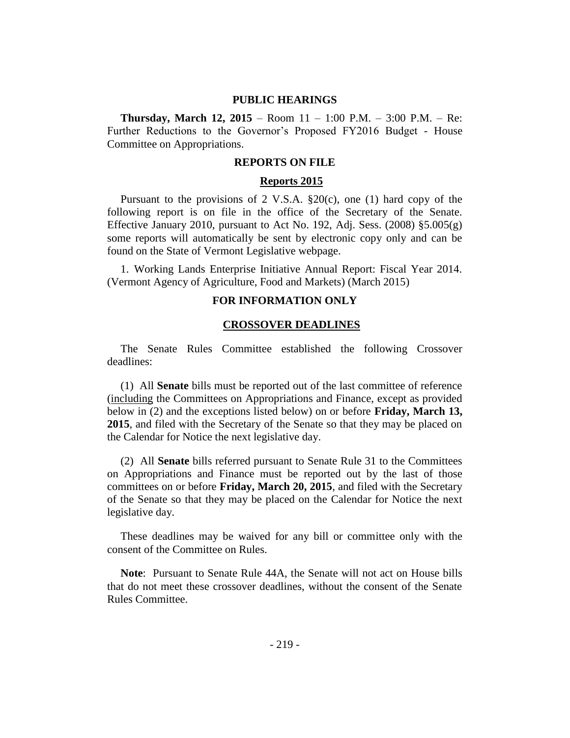#### **PUBLIC HEARINGS**

**Thursday, March 12, 2015** – Room 11 – 1:00 P.M. – 3:00 P.M. – Re: Further Reductions to the Governor's Proposed FY2016 Budget - House Committee on Appropriations.

#### **REPORTS ON FILE**

#### **Reports 2015**

Pursuant to the provisions of 2 V.S.A. §20(c), one (1) hard copy of the following report is on file in the office of the Secretary of the Senate. Effective January 2010, pursuant to Act No. 192, Adj. Sess.  $(2008)$  §5.005 $(g)$ some reports will automatically be sent by electronic copy only and can be found on the State of Vermont Legislative webpage.

1. Working Lands Enterprise Initiative Annual Report: Fiscal Year 2014. (Vermont Agency of Agriculture, Food and Markets) (March 2015)

#### **FOR INFORMATION ONLY**

#### **CROSSOVER DEADLINES**

The Senate Rules Committee established the following Crossover deadlines:

(1) All **Senate** bills must be reported out of the last committee of reference (including the Committees on Appropriations and Finance, except as provided below in (2) and the exceptions listed below) on or before **Friday, March 13, 2015**, and filed with the Secretary of the Senate so that they may be placed on the Calendar for Notice the next legislative day.

(2) All **Senate** bills referred pursuant to Senate Rule 31 to the Committees on Appropriations and Finance must be reported out by the last of those committees on or before **Friday, March 20, 2015**, and filed with the Secretary of the Senate so that they may be placed on the Calendar for Notice the next legislative day.

These deadlines may be waived for any bill or committee only with the consent of the Committee on Rules.

**Note**:Pursuant to Senate Rule 44A, the Senate will not act on House bills that do not meet these crossover deadlines, without the consent of the Senate Rules Committee.